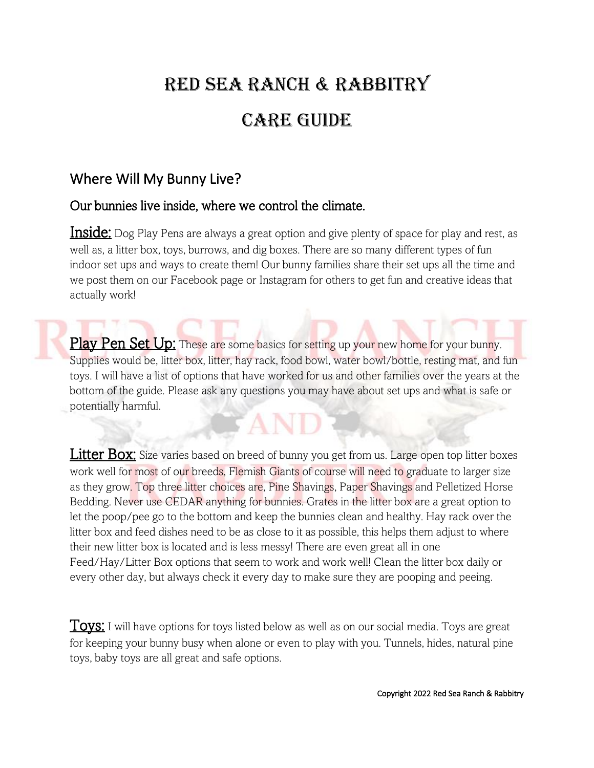# Red Sea Ranch & Rabbitry

## **CARE GUIDE**

## Where Will My Bunny Live?

#### Our bunnies live inside, where we control the climate.

**Inside:** Dog Play Pens are always a great option and give plenty of space for play and rest, as well as, a litter box, toys, burrows, and dig boxes. There are so many different types of fun indoor set ups and ways to create them! Our bunny families share their set ups all the time and we post them on our Facebook page or Instagram for others to get fun and creative ideas that actually work!

Play Pen Set Up: These are some basics for setting up your new home for your bunny. Supplies would be, litter box, litter, hay rack, food bowl, water bowl/bottle, resting mat, and fun toys. I will have a list of options that have worked for us and other families over the years at the bottom of the guide. Please ask any questions you may have about set ups and what is safe or potentially harmful.

**Litter Box:** Size varies based on breed of bunny you get from us. Large open top litter boxes work well for most of our breeds, Flemish Giants of course will need to graduate to larger size as they grow. Top three litter choices are, Pine Shavings, Paper Shavings and Pelletized Horse Bedding. Never use CEDAR anything for bunnies. Grates in the litter box are a great option to let the poop/pee go to the bottom and keep the bunnies clean and healthy. Hay rack over the litter box and feed dishes need to be as close to it as possible, this helps them adjust to where their new litter box is located and is less messy! There are even great all in one Feed/Hay/Litter Box options that seem to work and work well! Clean the litter box daily or every other day, but always check it every day to make sure they are pooping and peeing.

**Toys:** I will have options for toys listed below as well as on our social media. Toys are great for keeping your bunny busy when alone or even to play with you. Tunnels, hides, natural pine toys, baby toys are all great and safe options.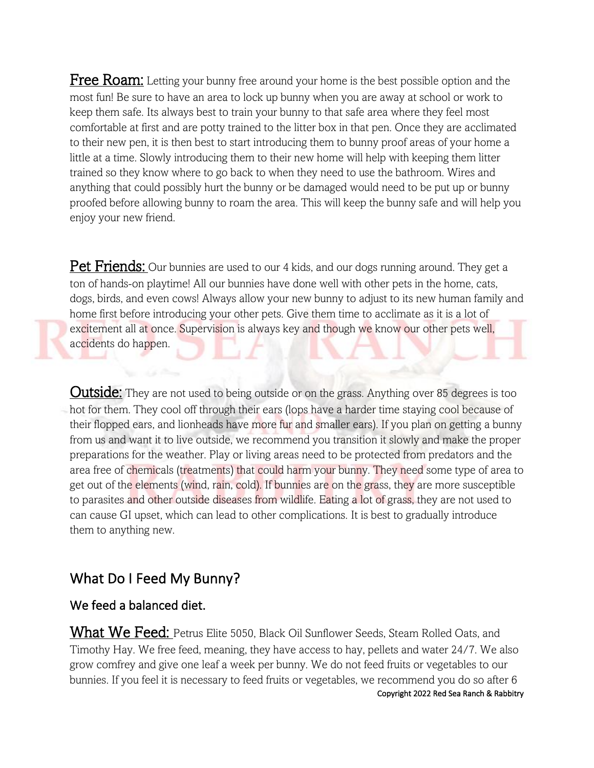Free Roam: Letting your bunny free around your home is the best possible option and the most fun! Be sure to have an area to lock up bunny when you are away at school or work to keep them safe. Its always best to train your bunny to that safe area where they feel most comfortable at first and are potty trained to the litter box in that pen. Once they are acclimated to their new pen, it is then best to start introducing them to bunny proof areas of your home a little at a time. Slowly introducing them to their new home will help with keeping them litter trained so they know where to go back to when they need to use the bathroom. Wires and anything that could possibly hurt the bunny or be damaged would need to be put up or bunny proofed before allowing bunny to roam the area. This will keep the bunny safe and will help you enjoy your new friend.

**Pet Friends:** Our bunnies are used to our 4 kids, and our dogs running around. They get a ton of hands-on playtime! All our bunnies have done well with other pets in the home, cats, dogs, birds, and even cows! Always allow your new bunny to adjust to its new human family and home first before introducing your other pets. Give them time to acclimate as it is a lot of excitement all at once. Supervision is always key and though we know our other pets well, accidents do happen.

**Outside:** They are not used to being outside or on the grass. Anything over 85 degrees is too hot for them. They cool off through their ears (lops have a harder time staying cool because of their flopped ears, and lionheads have more fur and smaller ears). If you plan on getting a bunny from us and want it to live outside, we recommend you transition it slowly and make the proper preparations for the weather. Play or living areas need to be protected from predators and the area free of chemicals (treatments) that could harm your bunny. They need some type of area to get out of the elements (wind, rain, cold). If bunnies are on the grass, they are more susceptible to parasites and other outside diseases from wildlife. Eating a lot of grass, they are not used to can cause GI upset, which can lead to other complications. It is best to gradually introduce them to anything new.

### What Do I Feed My Bunny?

#### We feed a balanced diet.

Copyright 2022 Red Sea Ranch & Rabbitry What We Feed: Petrus Elite 5050, Black Oil Sunflower Seeds, Steam Rolled Oats, and Timothy Hay. We free feed, meaning, they have access to hay, pellets and water 24/7. We also grow comfrey and give one leaf a week per bunny. We do not feed fruits or vegetables to our bunnies. If you feel it is necessary to feed fruits or vegetables, we recommend you do so after 6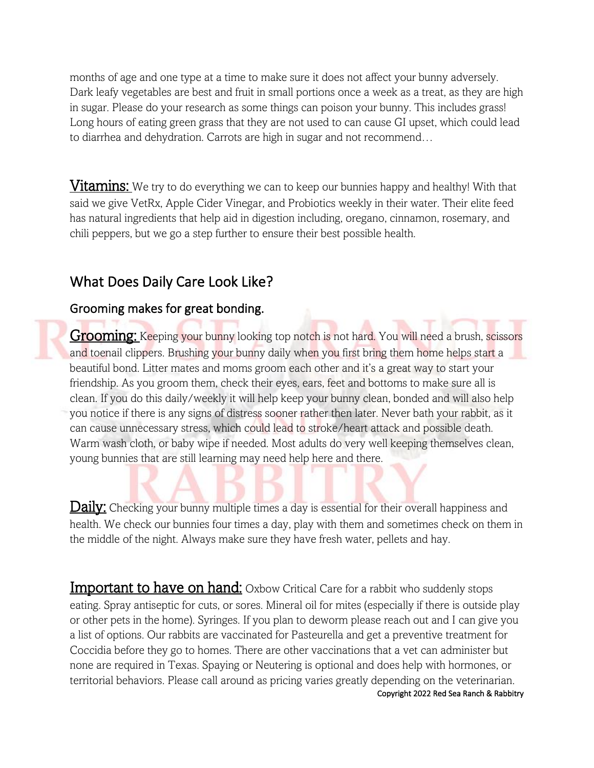months of age and one type at a time to make sure it does not affect your bunny adversely. Dark leafy vegetables are best and fruit in small portions once a week as a treat, as they are high in sugar. Please do your research as some things can poison your bunny. This includes grass! Long hours of eating green grass that they are not used to can cause GI upset, which could lead to diarrhea and dehydration. Carrots are high in sugar and not recommend…

**Vitamins:** We try to do everything we can to keep our bunnies happy and healthy! With that said we give VetRx, Apple Cider Vinegar, and Probiotics weekly in their water. Their elite feed has natural ingredients that help aid in digestion including, oregano, cinnamon, rosemary, and chili peppers, but we go a step further to ensure their best possible health.

### What Does Daily Care Look Like?

#### Grooming makes for great bonding.

Grooming: Keeping your bunny looking top notch is not hard. You will need a brush, scissors and toenail clippers. Brushing your bunny daily when you first bring them home helps start a beautiful bond. Litter mates and moms groom each other and it's a great way to start your friendship. As you groom them, check their eyes, ears, feet and bottoms to make sure all is clean. If you do this daily/weekly it will help keep your bunny clean, bonded and will also help you notice if there is any signs of distress sooner rather then later. Never bath your rabbit, as it can cause unnecessary stress, which could lead to stroke/heart attack and possible death. Warm wash cloth, or baby wipe if needed. Most adults do very well keeping themselves clean, young bunnies that are still learning may need help here and there.

Daily: Checking your bunny multiple times a day is essential for their overall happiness and health. We check our bunnies four times a day, play with them and sometimes check on them in the middle of the night. Always make sure they have fresh water, pellets and hay.

Important to have on hand: Oxbow Critical Care for a rabbit who suddenly stops eating. Spray antiseptic for cuts, or sores. Mineral oil for mites (especially if there is outside play or other pets in the home). Syringes. If you plan to deworm please reach out and I can give you a list of options. Our rabbits are vaccinated for Pasteurella and get a preventive treatment for Coccidia before they go to homes. There are other vaccinations that a vet can administer but none are required in Texas. Spaying or Neutering is optional and does help with hormones, or territorial behaviors. Please call around as pricing varies greatly depending on the veterinarian.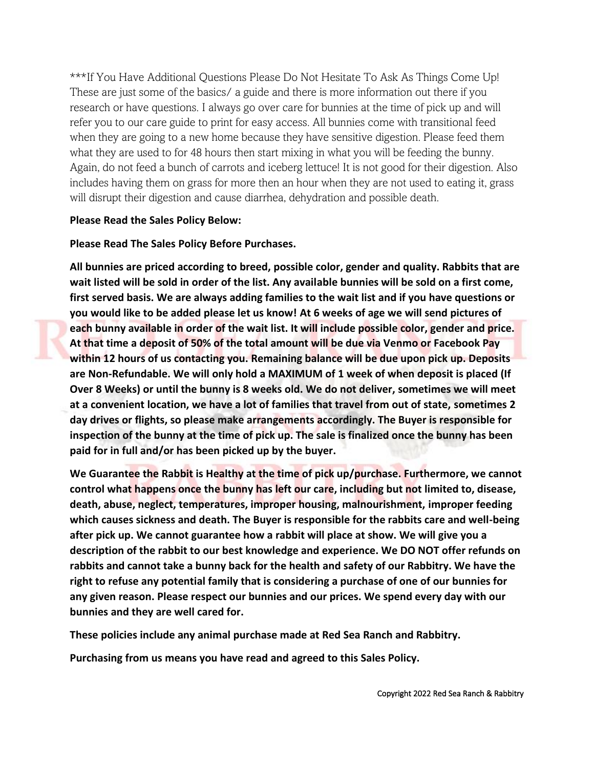\*\*\*If You Have Additional Questions Please Do Not Hesitate To Ask As Things Come Up! These are just some of the basics/ a guide and there is more information out there if you research or have questions. I always go over care for bunnies at the time of pick up and will refer you to our care guide to print for easy access. All bunnies come with transitional feed when they are going to a new home because they have sensitive digestion. Please feed them what they are used to for 48 hours then start mixing in what you will be feeding the bunny. Again, do not feed a bunch of carrots and iceberg lettuce! It is not good for their digestion. Also includes having them on grass for more then an hour when they are not used to eating it, grass will disrupt their digestion and cause diarrhea, dehydration and possible death.

#### **Please Read the Sales Policy Below:**

#### **Please Read The Sales Policy Before Purchases.**

**All bunnies are priced according to breed, possible color, gender and quality. Rabbits that are wait listed will be sold in order of the list. Any available bunnies will be sold on a first come, first served basis. We are always adding families to the wait list and if you have questions or you would like to be added please let us know! At 6 weeks of age we will send pictures of each bunny available in order of the wait list. It will include possible color, gender and price. At that time a deposit of 50% of the total amount will be due via Venmo or Facebook Pay within 12 hours of us contacting you. Remaining balance will be due upon pick up. Deposits are Non-Refundable. We will only hold a MAXIMUM of 1 week of when deposit is placed (If Over 8 Weeks) or until the bunny is 8 weeks old. We do not deliver, sometimes we will meet at a convenient location, we have a lot of families that travel from out of state, sometimes 2 day drives or flights, so please make arrangements accordingly. The Buyer is responsible for inspection of the bunny at the time of pick up. The sale is finalized once the bunny has been paid for in full and/or has been picked up by the buyer.**

We Guarantee the Rabbit is Healthy at the time of pick up/purchase. Furthermore, we cannot **control what happens once the bunny has left our care, including but not limited to, disease, death, abuse, neglect, temperatures, improper housing, malnourishment, improper feeding which causes sickness and death. The Buyer is responsible for the rabbits care and well-being after pick up. We cannot guarantee how a rabbit will place at show. We will give you a description of the rabbit to our best knowledge and experience. We DO NOT offer refunds on rabbits and cannot take a bunny back for the health and safety of our Rabbitry. We have the right to refuse any potential family that is considering a purchase of one of our bunnies for any given reason. Please respect our bunnies and our prices. We spend every day with our bunnies and they are well cared for.**

**These policies include any animal purchase made at Red Sea Ranch and Rabbitry.**

**Purchasing from us means you have read and agreed to this Sales Policy.**